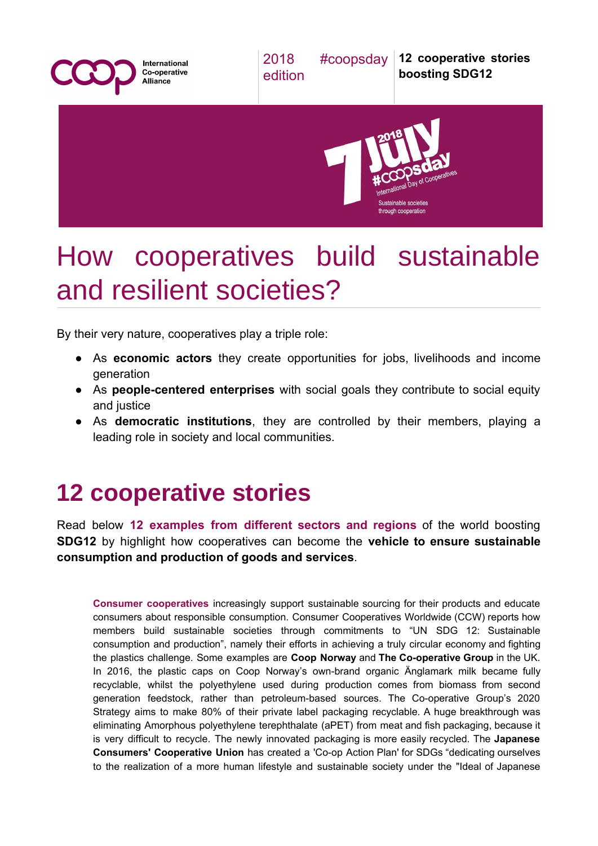

## How cooperatives build sustainable and resilient societies?

By their very nature, cooperatives play a triple role:

- As **economic actors** they create opportunities for jobs, livelihoods and income generation
- As **people-centered enterprises** with social goals they contribute to social equity and justice
- As **democratic institutions**, they are controlled by their members, playing a leading role in society and local communities.

## **12 cooperative stories**

Read below **12 examples from different sectors and regions** of the world boosting **SDG12** by highlight how cooperatives can become the **vehicle to ensure sustainable consumption and production of goods and services**.

**Consumer cooperatives** increasingly support sustainable sourcing for their products and educate consumers about responsible consumption. Consumer Cooperatives Worldwide (CCW) reports how members build sustainable societies through commitments to "UN SDG 12: Sustainable consumption and production", namely their efforts in achieving a truly circular economy and fighting the plastics challenge. Some examples are **Coop Norway** and **The Co-operative Group** in the UK. In 2016, the plastic caps on Coop Norway's own-brand organic Änglamark milk became fully recyclable, whilst the polyethylene used during production comes from biomass from second generation feedstock, rather than petroleum-based sources. The Co-operative Group's 2020 Strategy aims to make 80% of their private label packaging recyclable. A huge breakthrough was eliminating Amorphous polyethylene terephthalate (aPET) from meat and fish packaging, because it is very difficult to recycle. The newly innovated packaging is more easily recycled. The **Japanese Consumers' Cooperative Union** has created a ['Co-op](https://jccu.coop/eng/feature/coop_action_plan/) Action Plan' for SDGs "dedicating ourselves to the realization of a more human lifestyle and sustainable society under the "Ideal of Japanese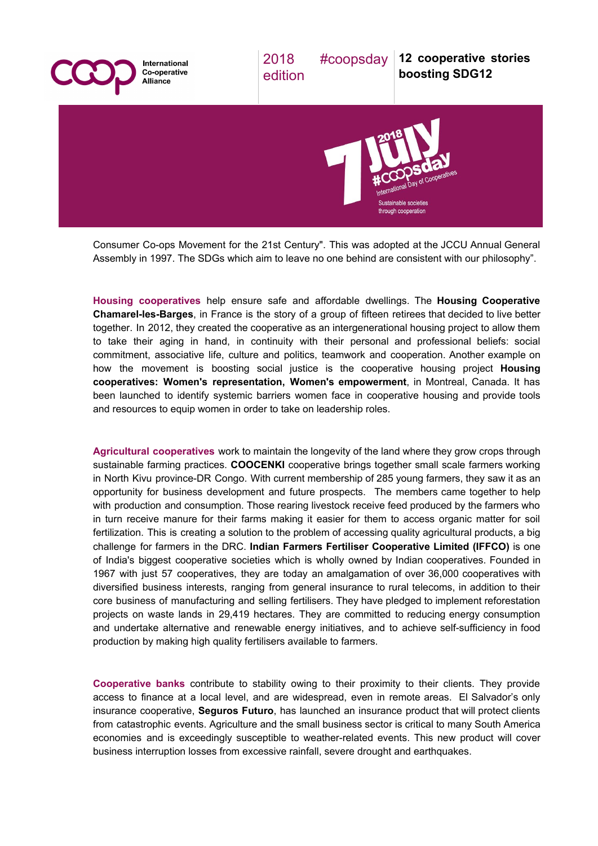

Consumer Co-ops Movement for the 21st Century". This was adopted at the JCCU Annual General Assembly in 1997. The SDGs which aim to leave no one behind are consistent with our philosophy".

**Housing cooperatives** help ensure safe and affordable dwellings. The **Housing [Cooperative](http://www.housinginternational.coop/news/) [Chamarel-les-Barges](http://www.housinginternational.coop/news/)**, in France is the story of a group of fifteen retirees that decided to live better together. In 2012, they created the cooperative as an intergenerational housing project to allow them to take their aging in hand, in continuity with their personal and professional beliefs: social commitment, associative life, culture and politics, teamwork and cooperation. Another example on how the movement is boosting social justice is the cooperative housing project **[Housing](http://fechimm.coop/en/women) cooperatives: Women's [representation,](http://fechimm.coop/en/women) Women's empowerment**, in Montreal, Canada. It has been launched to identify systemic barriers women face in cooperative housing and provide tools and resources to equip women in order to take on leadership roles.

**Agricultural cooperatives** work to maintain the longevity of the land where they grow crops through sustainable farming practices. **COOCENKI** cooperative brings together small scale farmers working in North Kivu province-DR Congo. With current membership of 285 young farmers, they saw it as an opportunity for business development and future prospects. The members came together to help with production and consumption. Those rearing livestock receive feed produced by the farmers who in turn receive manure for their farms making it easier for them to access organic matter for soil fertilization. This is creating a solution to the problem of accessing quality agricultural products, a big challenge for farmers in the DRC. **Indian Farmers Fertiliser Cooperative Limited (IFFCO)** is one of India's biggest cooperative societies which is wholly owned by Indian cooperatives. Founded in 1967 with just 57 cooperatives, they are today an amalgamation of over 36,000 cooperatives with diversified business interests, ranging from general insurance to rural telecoms, in addition to their core business of manufacturing and selling fertilisers. They have pledged to implement reforestation projects on waste lands in 29,419 hectares. They are committed to reducing energy consumption and undertake alternative and renewable energy initiatives, and to achieve self-sufficiency in food production by making high quality fertilisers available to farmers.

**Cooperative banks** contribute to stability owing to their proximity to their clients. They provide access to finance at a local level, and are widespread, even in remote areas. El Salvador's only insurance cooperative, **[Seguros](https://www.icmif.org/news/seguros-futuro-launches-new-parametric-microinsurance-product-el-salvador) Futuro**, has launched an insurance product that will protect clients from catastrophic events. Agriculture and the small business sector is critical to many South America economies and is exceedingly susceptible to weather-related events. This new product will cover business interruption losses from excessive rainfall, severe drought and earthquakes.